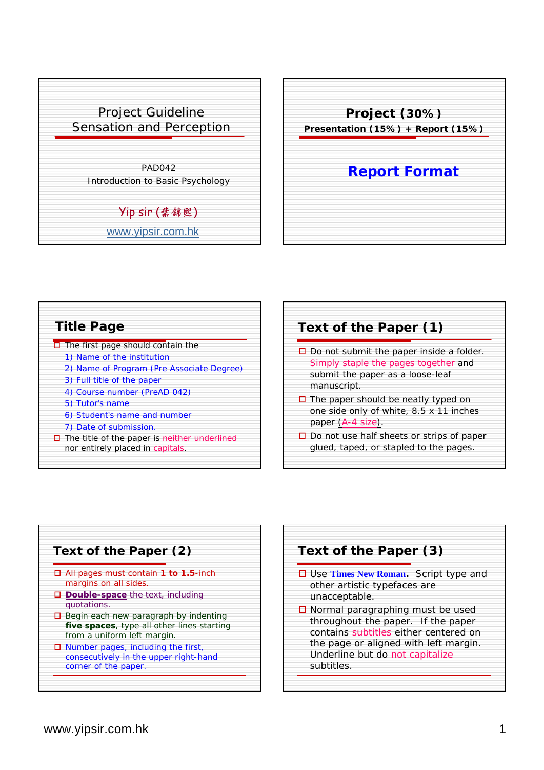



| <b>Title Page</b>                                   |
|-----------------------------------------------------|
| $\Box$ The first page should contain the            |
| 1) Name of the institution                          |
| 2) Name of Program (Pre Associate Degree)           |
| 3) Full title of the paper                          |
| 4) Course number (PreAD 042)                        |
| 5) Tutor's name                                     |
| 6) Student's name and number                        |
| 7) Date of submission.                              |
| $\Box$ The title of the paper is neither underlined |
| nor entirely placed in capitals.                    |





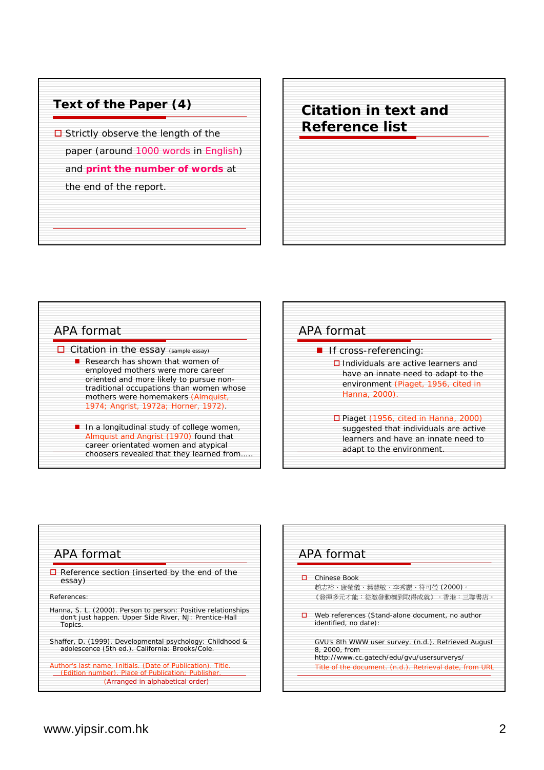

| <b>Citation in text and</b><br><b>Reference list</b> |  |
|------------------------------------------------------|--|
|                                                      |  |
|                                                      |  |



| APA format                                                                                                                                                           |
|----------------------------------------------------------------------------------------------------------------------------------------------------------------------|
| ■ If cross-referencing:<br>$\Box$ Individuals are active learners and<br>have an innate need to adapt to the<br>environment (Piaget, 1956, cited in<br>Hanna, 2000). |
| $\Box$ Piaget (1956, cited in Hanna, 2000)<br>suggested that individuals are active<br>learners and have an innate need to<br>adapt to the environment.              |



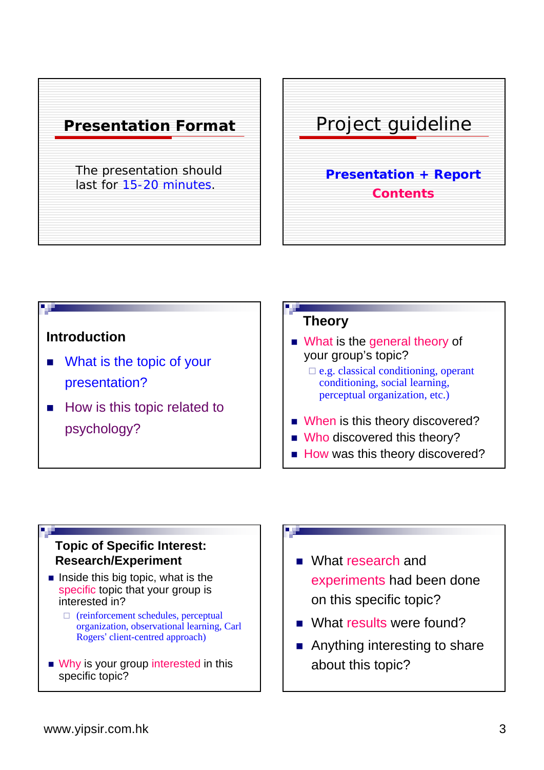



# **Introduction**

- What is the topic of your presentation?
- How is this topic related to psychology?

## **Theory**

- What is the general theory of your group's topic?
	- $\Box$  e.g. classical conditioning, operant conditioning, social learning, perceptual organization, etc.)
- When is this theory discovered?
- Who discovered this theory?
- How was this theory discovered?

### **Topic of Specific Interest: Research/Experiment**

- $\blacksquare$  Inside this big topic, what is the specific topic that your group is interested in?
	- $\Box$  (reinforcement schedules, perceptual organization, observational learning, Carl Rogers' client-centred approach)
- Why is your group interested in this specific topic?

#### 7, 2

- What research and experiments had been done on this specific topic?
- What results were found?
- Anything interesting to share about this topic?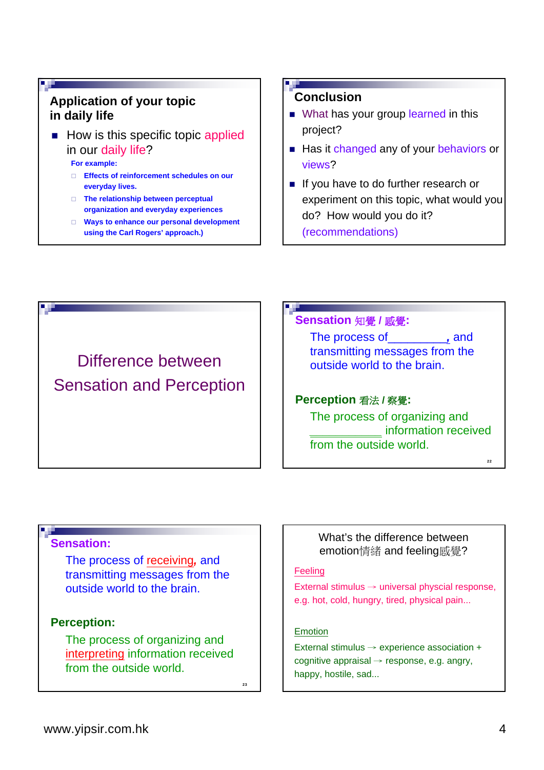## **Application of your topic in daily life**

 $\blacksquare$  How is this specific topic applied in our daily life?

**For example:**

- **Effects of reinforcement schedules on our everyday lives.**
- **The relationship between perceptual organization and everyday experiences**
- **Ways to enhance our personal development using the Carl Rogers' approach.)**

### **Conclusion**

- What has your group learned in this project?
- Has it changed any of your behaviors or views?
- If you have to do further research or experiment on this topic, what would you do? How would you do it?

(recommendations)

Difference between Sensation and Perception

#### **Sensation** 知覺 **/** 感覺**:**

The process of\_\_\_\_\_\_\_\_\_*,* and transmitting messages from the outside world to the brain.

#### **Perception** 看法 **/** 察覺**:**

The process of organizing and *\_\_\_\_\_\_\_\_\_\_\_* information received from the outside world.

#### **Sensation:**

The process of receiving*,* and transmitting messages from the outside world to the brain.

#### **Perception:**

The process of organizing and interpreting information received from the outside world.

 $23$ 

### What's the difference between emotion情緒 and feeling感覺?

#### **Feeling**

External stimulus  $\rightarrow$  universal physcial response, e.g. hot, cold, hungry, tired, physical pain...

#### Emotion

External stimulus → experience association + cognitive appraisal  $\rightarrow$  response, e.g. angry, happy, hostile, sad...

22